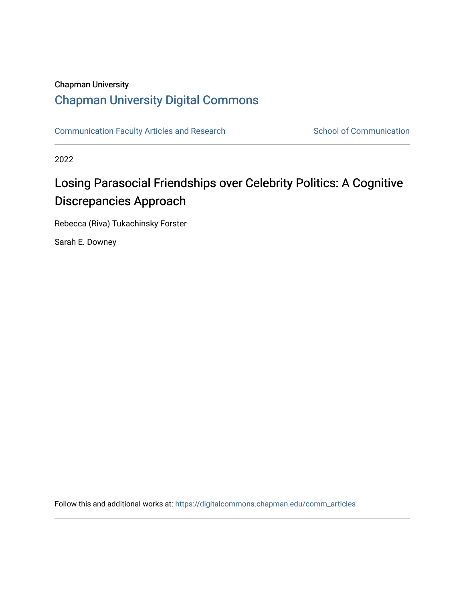# Chapman University

# [Chapman University Digital Commons](https://digitalcommons.chapman.edu/)

[Communication Faculty Articles and Research](https://digitalcommons.chapman.edu/comm_articles) School of Communication

2022

# Losing Parasocial Friendships over Celebrity Politics: A Cognitive Discrepancies Approach

Rebecca (Riva) Tukachinsky Forster

Sarah E. Downey

Follow this and additional works at: [https://digitalcommons.chapman.edu/comm\\_articles](https://digitalcommons.chapman.edu/comm_articles?utm_source=digitalcommons.chapman.edu%2Fcomm_articles%2F88&utm_medium=PDF&utm_campaign=PDFCoverPages)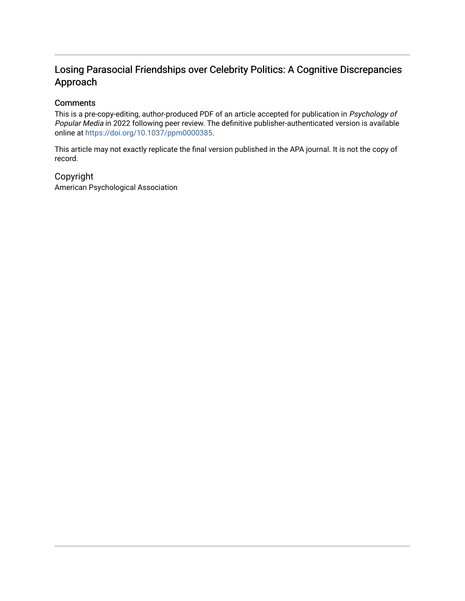# Losing Parasocial Friendships over Celebrity Politics: A Cognitive Discrepancies Approach

### **Comments**

This is a pre-copy-editing, author-produced PDF of an article accepted for publication in Psychology of Popular Media in 2022 following peer review. The definitive publisher-authenticated version is available online at [https://doi.org/10.1037/ppm0000385.](https://doi.org/10.1037/ppm0000385)

This article may not exactly replicate the final version published in the APA journal. It is not the copy of record.

### Copyright

American Psychological Association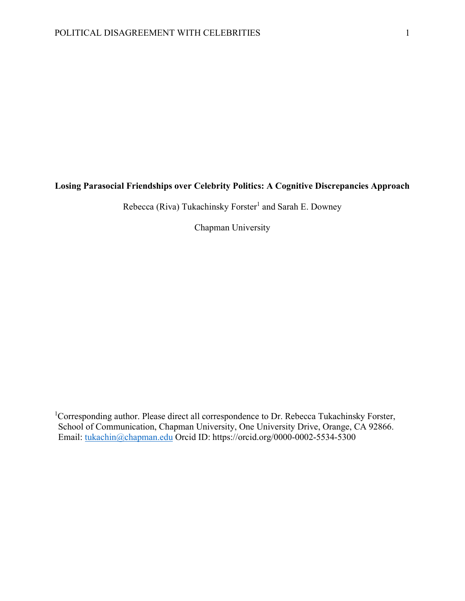## **Losing Parasocial Friendships over Celebrity Politics: A Cognitive Discrepancies Approach**

Rebecca (Riva) Tukachinsky Forster<sup>1</sup> and Sarah E. Downey

Chapman University

<sup>1</sup>Corresponding author. Please direct all correspondence to Dr. Rebecca Tukachinsky Forster, School of Communication, Chapman University, One University Drive, Orange, CA 92866. Email: [tukachin@chapman.edu](mailto:tukachin@chapman.edu) Orcid ID: https://orcid.org/0000-0002-5534-5300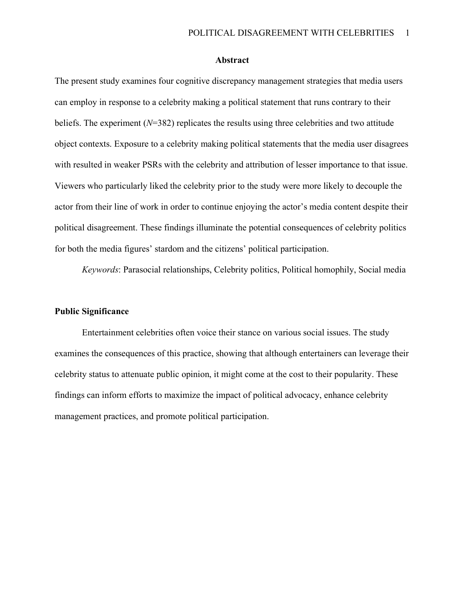#### **Abstract**

The present study examines four cognitive discrepancy management strategies that media users can employ in response to a celebrity making a political statement that runs contrary to their beliefs. The experiment  $(N=382)$  replicates the results using three celebrities and two attitude object contexts. Exposure to a celebrity making political statements that the media user disagrees with resulted in weaker PSRs with the celebrity and attribution of lesser importance to that issue. Viewers who particularly liked the celebrity prior to the study were more likely to decouple the actor from their line of work in order to continue enjoying the actor's media content despite their political disagreement. These findings illuminate the potential consequences of celebrity politics for both the media figures' stardom and the citizens' political participation.

*Keywords*: Parasocial relationships, Celebrity politics, Political homophily, Social media

#### **Public Significance**

Entertainment celebrities often voice their stance on various social issues. The study examines the consequences of this practice, showing that although entertainers can leverage their celebrity status to attenuate public opinion, it might come at the cost to their popularity. These findings can inform efforts to maximize the impact of political advocacy, enhance celebrity management practices, and promote political participation.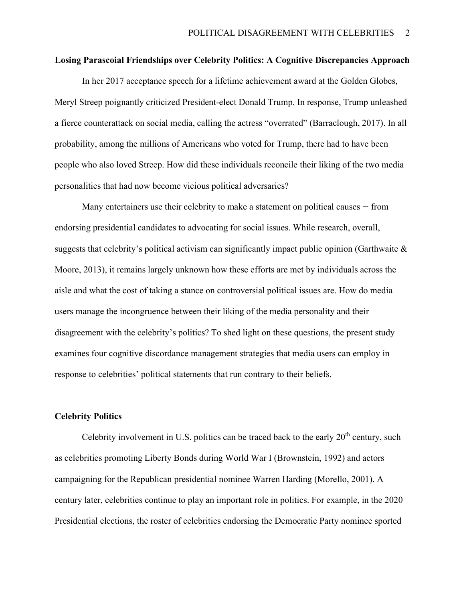#### **Losing Parascoial Friendships over Celebrity Politics: A Cognitive Discrepancies Approach**

In her 2017 acceptance speech for a lifetime achievement award at the Golden Globes, Meryl Streep poignantly criticized President-elect Donald Trump. In response, Trump unleashed a fierce counterattack on social media, calling the actress "overrated" (Barraclough, 2017). In all probability, among the millions of Americans who voted for Trump, there had to have been people who also loved Streep. How did these individuals reconcile their liking of the two media personalities that had now become vicious political adversaries?

Many entertainers use their celebrity to make a statement on political causes — from endorsing presidential candidates to advocating for social issues. While research, overall, suggests that celebrity's political activism can significantly impact public opinion (Garthwaite & Moore, 2013), it remains largely unknown how these efforts are met by individuals across the aisle and what the cost of taking a stance on controversial political issues are. How do media users manage the incongruence between their liking of the media personality and their disagreement with the celebrity's politics? To shed light on these questions, the present study examines four cognitive discordance management strategies that media users can employ in response to celebrities' political statements that run contrary to their beliefs.

#### **Celebrity Politics**

Celebrity involvement in U.S. politics can be traced back to the early 20<sup>th</sup> century, such as celebrities promoting Liberty Bonds during World War I (Brownstein, 1992) and actors campaigning for the Republican presidential nominee Warren Harding (Morello, 2001). A century later, celebrities continue to play an important role in politics. For example, in the 2020 Presidential elections, the roster of celebrities endorsing the Democratic Party nominee sported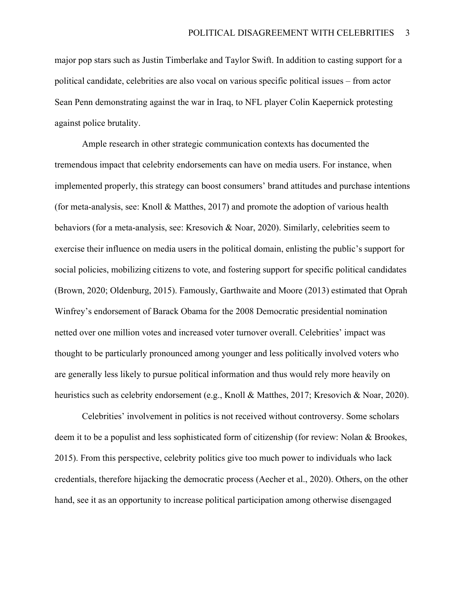major pop stars such as Justin Timberlake and Taylor Swift. In addition to casting support for a political candidate, celebrities are also vocal on various specific political issues – from actor Sean Penn demonstrating against the war in Iraq, to NFL player Colin Kaepernick protesting against police brutality.

Ample research in other strategic communication contexts has documented the tremendous impact that celebrity endorsements can have on media users. For instance, when implemented properly, this strategy can boost consumers' brand attitudes and purchase intentions (for meta-analysis, see: Knoll & Matthes, 2017) and promote the adoption of various health behaviors (for a meta-analysis, see: Kresovich & Noar, 2020). Similarly, celebrities seem to exercise their influence on media users in the political domain, enlisting the public's support for social policies, mobilizing citizens to vote, and fostering support for specific political candidates (Brown, 2020; Oldenburg, 2015). Famously, Garthwaite and Moore (2013) estimated that Oprah Winfrey's endorsement of Barack Obama for the 2008 Democratic presidential nomination netted over one million votes and increased voter turnover overall. Celebrities' impact was thought to be particularly pronounced among younger and less politically involved voters who are generally less likely to pursue political information and thus would rely more heavily on heuristics such as celebrity endorsement (e.g., Knoll & Matthes, 2017; Kresovich & Noar, 2020).

Celebrities' involvement in politics is not received without controversy. Some scholars deem it to be a populist and less sophisticated form of citizenship (for review: Nolan & Brookes, 2015). From this perspective, celebrity politics give too much power to individuals who lack credentials, therefore hijacking the democratic process (Aecher et al., 2020). Others, on the other hand, see it as an opportunity to increase political participation among otherwise disengaged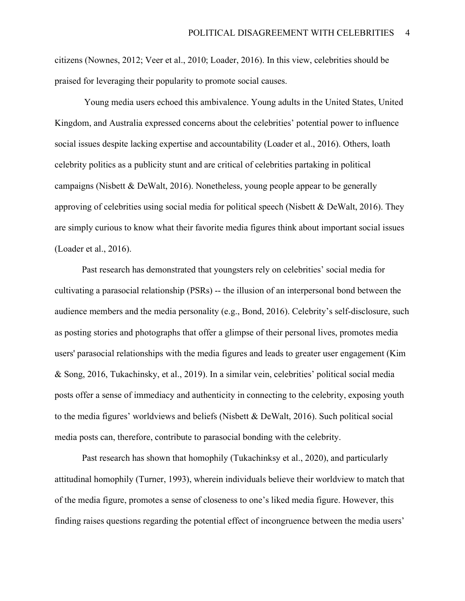citizens (Nownes, 2012; Veer et al., 2010; Loader, 2016). In this view, celebrities should be praised for leveraging their popularity to promote social causes.

Young media users echoed this ambivalence. Young adults in the United States, United Kingdom, and Australia expressed concerns about the celebrities' potential power to influence social issues despite lacking expertise and accountability (Loader et al., 2016). Others, loath celebrity politics as a publicity stunt and are critical of celebrities partaking in political campaigns (Nisbett  $&$  DeWalt, 2016). Nonetheless, young people appear to be generally approving of celebrities using social media for political speech (Nisbett & DeWalt, 2016). They are simply curious to know what their favorite media figures think about important social issues (Loader et al., 2016).

Past research has demonstrated that youngsters rely on celebrities' social media for cultivating a parasocial relationship (PSRs) -- the illusion of an interpersonal bond between the audience members and the media personality (e.g., Bond, 2016). Celebrity's self-disclosure, such as posting stories and photographs that offer a glimpse of their personal lives, promotes media users' parasocial relationships with the media figures and leads to greater user engagement (Kim & Song, 2016, Tukachinsky, et al., 2019). In a similar vein, celebrities' political social media posts offer a sense of immediacy and authenticity in connecting to the celebrity, exposing youth to the media figures' worldviews and beliefs (Nisbett & DeWalt, 2016). Such political social media posts can, therefore, contribute to parasocial bonding with the celebrity.

Past research has shown that homophily (Tukachinksy et al., 2020), and particularly attitudinal homophily (Turner, 1993), wherein individuals believe their worldview to match that of the media figure, promotes a sense of closeness to one's liked media figure. However, this finding raises questions regarding the potential effect of incongruence between the media users'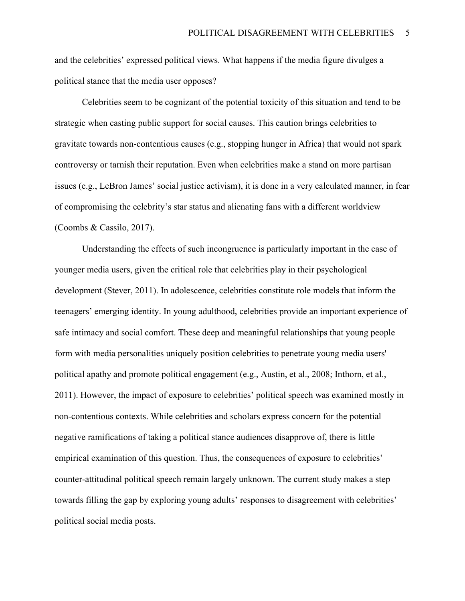and the celebrities' expressed political views. What happens if the media figure divulges a political stance that the media user opposes?

Celebrities seem to be cognizant of the potential toxicity of this situation and tend to be strategic when casting public support for social causes. This caution brings celebrities to gravitate towards non-contentious causes (e.g., stopping hunger in Africa) that would not spark controversy or tarnish their reputation. Even when celebrities make a stand on more partisan issues (e.g., LeBron James' social justice activism), it is done in a very calculated manner, in fear of compromising the celebrity's star status and alienating fans with a different worldview (Coombs & Cassilo, 2017).

Understanding the effects of such incongruence is particularly important in the case of younger media users, given the critical role that celebrities play in their psychological development (Stever, 2011). In adolescence, celebrities constitute role models that inform the teenagers' emerging identity. In young adulthood, celebrities provide an important experience of safe intimacy and social comfort. These deep and meaningful relationships that young people form with media personalities uniquely position celebrities to penetrate young media users' political apathy and promote political engagement (e.g., Austin, et al., 2008; Inthorn, et al., 2011). However, the impact of exposure to celebrities' political speech was examined mostly in non-contentious contexts. While celebrities and scholars express concern for the potential negative ramifications of taking a political stance audiences disapprove of, there is little empirical examination of this question. Thus, the consequences of exposure to celebrities' counter-attitudinal political speech remain largely unknown. The current study makes a step towards filling the gap by exploring young adults' responses to disagreement with celebrities' political social media posts.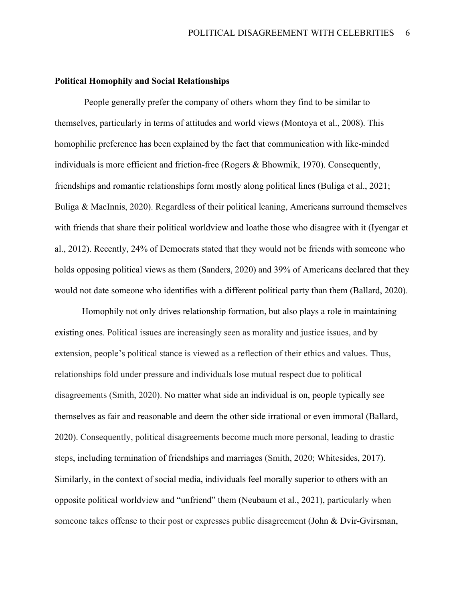#### **Political Homophily and Social Relationships**

People generally prefer the company of others whom they find to be similar to themselves, particularly in terms of attitudes and world views (Montoya et al., 2008). This homophilic preference has been explained by the fact that communication with like-minded individuals is more efficient and friction-free (Rogers & Bhowmik, 1970). Consequently, friendships and romantic relationships form mostly along political lines (Buliga et al., 2021; Buliga & MacInnis, 2020). Regardless of their political leaning, Americans surround themselves with friends that share their political worldview and loathe those who disagree with it (Iyengar et al., 2012). Recently, 24% of Democrats stated that they would not be friends with someone who holds opposing political views as them (Sanders, 2020) and 39% of Americans declared that they would not date someone who identifies with a different political party than them (Ballard, 2020).

Homophily not only drives relationship formation, but also plays a role in maintaining existing ones. Political issues are increasingly seen as morality and justice issues, and by extension, people's political stance is viewed as a reflection of their ethics and values. Thus, relationships fold under pressure and individuals lose mutual respect due to political disagreements (Smith, 2020). No matter what side an individual is on, people typically see themselves as fair and reasonable and deem the other side irrational or even immoral (Ballard, 2020). Consequently, political disagreements become much more personal, leading to drastic steps, including termination of friendships and marriages (Smith, 2020; Whitesides, 2017). Similarly, in the context of social media, individuals feel morally superior to others with an opposite political worldview and "unfriend" them (Neubaum et al., 2021), particularly when someone takes offense to their post or expresses public disagreement (John & Dvir-Gvirsman,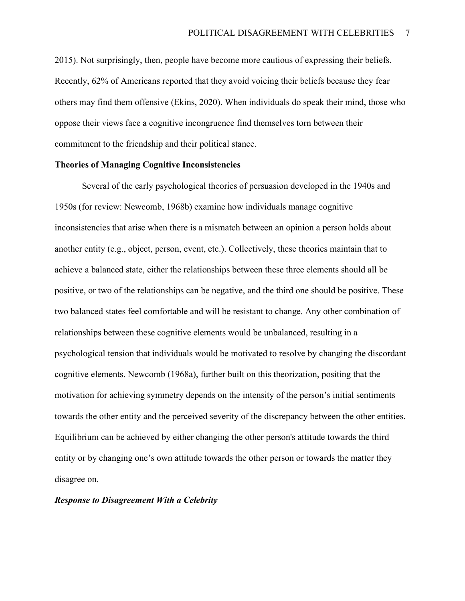2015). Not surprisingly, then, people have become more cautious of expressing their beliefs. Recently, 62% of Americans reported that they avoid voicing their beliefs because they fear others may find them offensive (Ekins, 2020). When individuals do speak their mind, those who oppose their views face a cognitive incongruence find themselves torn between their commitment to the friendship and their political stance.

#### **Theories of Managing Cognitive Inconsistencies**

Several of the early psychological theories of persuasion developed in the 1940s and 1950s (for review: Newcomb, 1968b) examine how individuals manage cognitive inconsistencies that arise when there is a mismatch between an opinion a person holds about another entity (e.g., object, person, event, etc.). Collectively, these theories maintain that to achieve a balanced state, either the relationships between these three elements should all be positive, or two of the relationships can be negative, and the third one should be positive. These two balanced states feel comfortable and will be resistant to change. Any other combination of relationships between these cognitive elements would be unbalanced, resulting in a psychological tension that individuals would be motivated to resolve by changing the discordant cognitive elements. Newcomb (1968a), further built on this theorization, positing that the motivation for achieving symmetry depends on the intensity of the person's initial sentiments towards the other entity and the perceived severity of the discrepancy between the other entities. Equilibrium can be achieved by either changing the other person's attitude towards the third entity or by changing one's own attitude towards the other person or towards the matter they disagree on.

#### *Response to Disagreement With a Celebrity*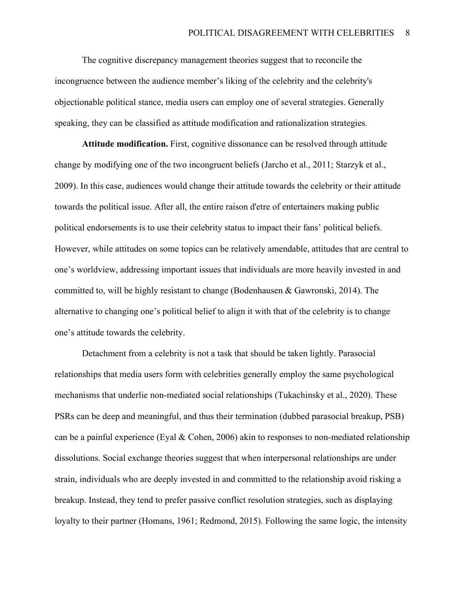The cognitive discrepancy management theories suggest that to reconcile the incongruence between the audience member's liking of the celebrity and the celebrity's objectionable political stance, media users can employ one of several strategies. Generally speaking, they can be classified as attitude modification and rationalization strategies.

**Attitude modification.** First, cognitive dissonance can be resolved through attitude change by modifying one of the two incongruent beliefs (Jarcho et al., 2011; Starzyk et al., 2009). In this case, audiences would change their attitude towards the celebrity or their attitude towards the political issue. After all, the entire raison d'etre of entertainers making public political endorsements is to use their celebrity status to impact their fans' political beliefs. However, while attitudes on some topics can be relatively amendable, attitudes that are central to one's worldview, addressing important issues that individuals are more heavily invested in and committed to, will be highly resistant to change (Bodenhausen & Gawronski, 2014). The alternative to changing one's political belief to align it with that of the celebrity is to change one's attitude towards the celebrity.

Detachment from a celebrity is not a task that should be taken lightly. Parasocial relationships that media users form with celebrities generally employ the same psychological mechanisms that underlie non-mediated social relationships (Tukachinsky et al., 2020). These PSRs can be deep and meaningful, and thus their termination (dubbed parasocial breakup, PSB) can be a painful experience (Eyal & Cohen, 2006) akin to responses to non-mediated relationship dissolutions. Social exchange theories suggest that when interpersonal relationships are under strain, individuals who are deeply invested in and committed to the relationship avoid risking a breakup. Instead, they tend to prefer passive conflict resolution strategies, such as displaying loyalty to their partner (Homans, 1961; Redmond, 2015). Following the same logic, the intensity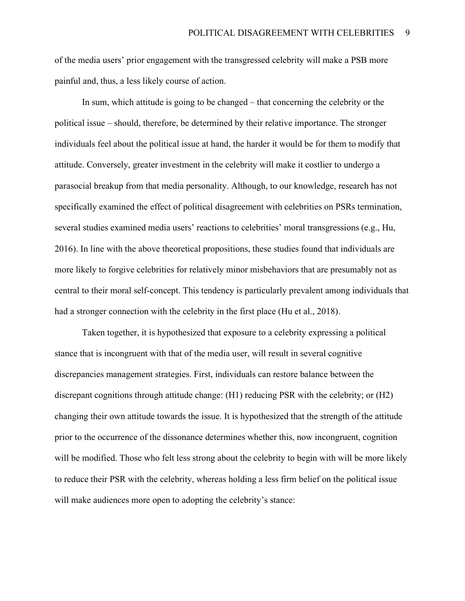of the media users' prior engagement with the transgressed celebrity will make a PSB more painful and, thus, a less likely course of action.

In sum, which attitude is going to be changed – that concerning the celebrity or the political issue – should, therefore, be determined by their relative importance. The stronger individuals feel about the political issue at hand, the harder it would be for them to modify that attitude. Conversely, greater investment in the celebrity will make it costlier to undergo a parasocial breakup from that media personality. Although, to our knowledge, research has not specifically examined the effect of political disagreement with celebrities on PSRs termination, several studies examined media users' reactions to celebrities' moral transgressions (e.g., Hu, 2016). In line with the above theoretical propositions, these studies found that individuals are more likely to forgive celebrities for relatively minor misbehaviors that are presumably not as central to their moral self-concept. This tendency is particularly prevalent among individuals that had a stronger connection with the celebrity in the first place (Hu et al., 2018).

Taken together, it is hypothesized that exposure to a celebrity expressing a political stance that is incongruent with that of the media user, will result in several cognitive discrepancies management strategies. First, individuals can restore balance between the discrepant cognitions through attitude change: (H1) reducing PSR with the celebrity; or (H2) changing their own attitude towards the issue. It is hypothesized that the strength of the attitude prior to the occurrence of the dissonance determines whether this, now incongruent, cognition will be modified. Those who felt less strong about the celebrity to begin with will be more likely to reduce their PSR with the celebrity, whereas holding a less firm belief on the political issue will make audiences more open to adopting the celebrity's stance: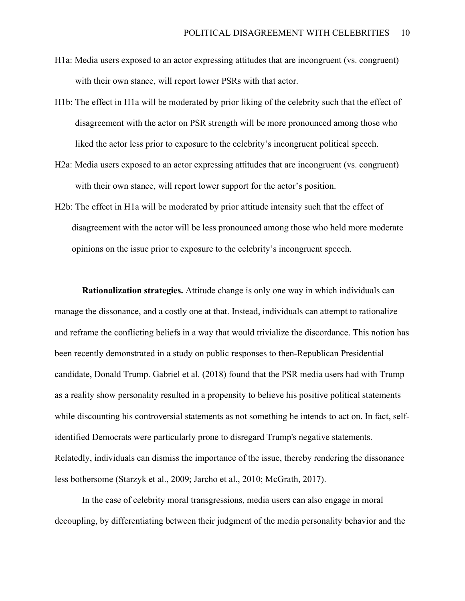- H1a: Media users exposed to an actor expressing attitudes that are incongruent (vs. congruent) with their own stance, will report lower PSRs with that actor.
- H1b: The effect in H1a will be moderated by prior liking of the celebrity such that the effect of disagreement with the actor on PSR strength will be more pronounced among those who liked the actor less prior to exposure to the celebrity's incongruent political speech.
- H2a: Media users exposed to an actor expressing attitudes that are incongruent (vs. congruent) with their own stance, will report lower support for the actor's position.
- H2b: The effect in H1a will be moderated by prior attitude intensity such that the effect of disagreement with the actor will be less pronounced among those who held more moderate opinions on the issue prior to exposure to the celebrity's incongruent speech.

**Rationalization strategies.** Attitude change is only one way in which individuals can manage the dissonance, and a costly one at that. Instead, individuals can attempt to rationalize and reframe the conflicting beliefs in a way that would trivialize the discordance. This notion has been recently demonstrated in a study on public responses to then-Republican Presidential candidate, Donald Trump. Gabriel et al. (2018) found that the PSR media users had with Trump as a reality show personality resulted in a propensity to believe his positive political statements while discounting his controversial statements as not something he intends to act on. In fact, selfidentified Democrats were particularly prone to disregard Trump's negative statements. Relatedly, individuals can dismiss the importance of the issue, thereby rendering the dissonance less bothersome (Starzyk et al., 2009; Jarcho et al., 2010; McGrath, 2017).

In the case of celebrity moral transgressions, media users can also engage in moral decoupling, by differentiating between their judgment of the media personality behavior and the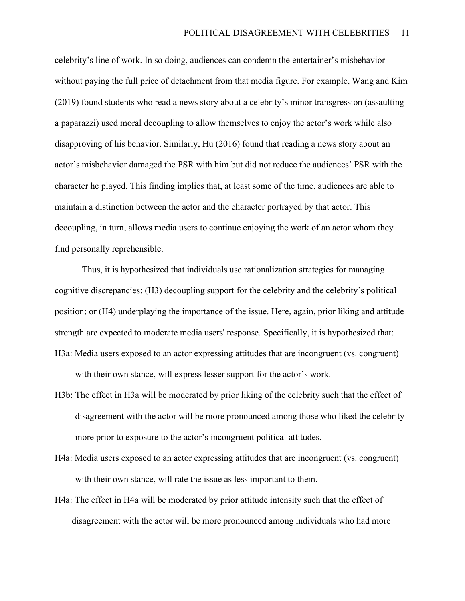celebrity's line of work. In so doing, audiences can condemn the entertainer's misbehavior without paying the full price of detachment from that media figure. For example, Wang and Kim (2019) found students who read a news story about a celebrity's minor transgression (assaulting a paparazzi) used moral decoupling to allow themselves to enjoy the actor's work while also disapproving of his behavior. Similarly, Hu (2016) found that reading a news story about an actor's misbehavior damaged the PSR with him but did not reduce the audiences' PSR with the character he played. This finding implies that, at least some of the time, audiences are able to maintain a distinction between the actor and the character portrayed by that actor. This decoupling, in turn, allows media users to continue enjoying the work of an actor whom they find personally reprehensible.

Thus, it is hypothesized that individuals use rationalization strategies for managing cognitive discrepancies: (H3) decoupling support for the celebrity and the celebrity's political position; or (H4) underplaying the importance of the issue. Here, again, prior liking and attitude strength are expected to moderate media users' response. Specifically, it is hypothesized that: H3a: Media users exposed to an actor expressing attitudes that are incongruent (vs. congruent)

with their own stance, will express lesser support for the actor's work.

- H3b: The effect in H3a will be moderated by prior liking of the celebrity such that the effect of disagreement with the actor will be more pronounced among those who liked the celebrity more prior to exposure to the actor's incongruent political attitudes.
- H4a: Media users exposed to an actor expressing attitudes that are incongruent (vs. congruent) with their own stance, will rate the issue as less important to them.
- H4a: The effect in H4a will be moderated by prior attitude intensity such that the effect of disagreement with the actor will be more pronounced among individuals who had more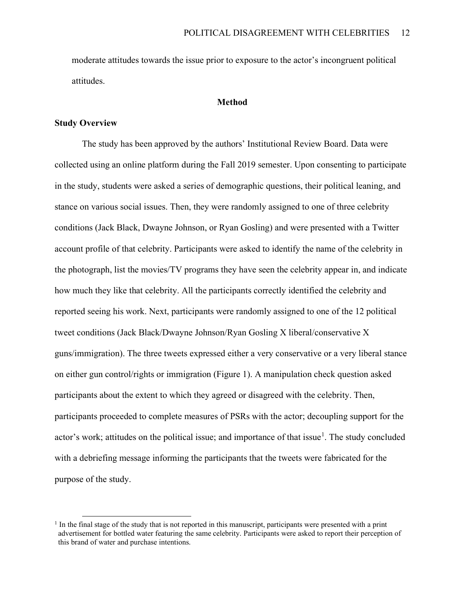moderate attitudes towards the issue prior to exposure to the actor's incongruent political attitudes.

#### **Method**

#### **Study Overview**

The study has been approved by the authors' Institutional Review Board. Data were collected using an online platform during the Fall 2019 semester. Upon consenting to participate in the study, students were asked a series of demographic questions, their political leaning, and stance on various social issues. Then, they were randomly assigned to one of three celebrity conditions (Jack Black, Dwayne Johnson, or Ryan Gosling) and were presented with a Twitter account profile of that celebrity. Participants were asked to identify the name of the celebrity in the photograph, list the movies/TV programs they have seen the celebrity appear in, and indicate how much they like that celebrity. All the participants correctly identified the celebrity and reported seeing his work. Next, participants were randomly assigned to one of the 12 political tweet conditions (Jack Black/Dwayne Johnson/Ryan Gosling X liberal/conservative X guns/immigration). The three tweets expressed either a very conservative or a very liberal stance on either gun control/rights or immigration (Figure 1). A manipulation check question asked participants about the extent to which they agreed or disagreed with the celebrity. Then, participants proceeded to complete measures of PSRs with the actor; decoupling support for the actor's work; attitudes on the political issue; and importance of that issue<sup>[1](#page-14-0)</sup>. The study concluded with a debriefing message informing the participants that the tweets were fabricated for the purpose of the study.

<span id="page-14-0"></span> $1$  In the final stage of the study that is not reported in this manuscript, participants were presented with a print advertisement for bottled water featuring the same celebrity. Participants were asked to report their perception of this brand of water and purchase intentions.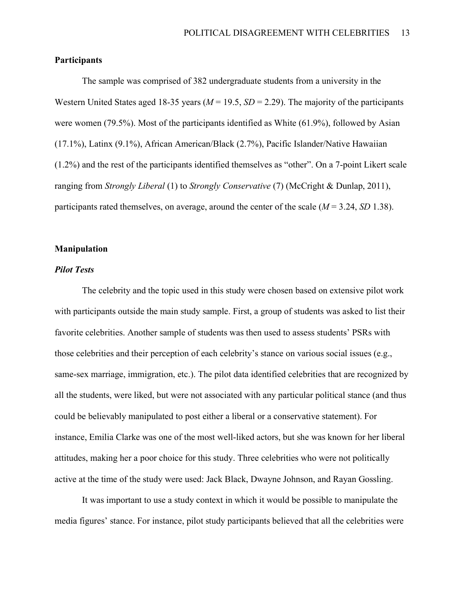#### **Participants**

The sample was comprised of 382 undergraduate students from a university in the Western United States aged 18-35 years ( $M = 19.5$ ,  $SD = 2.29$ ). The majority of the participants were women (79.5%). Most of the participants identified as White (61.9%), followed by Asian (17.1%), Latinx (9.1%), African American/Black (2.7%), Pacific Islander/Native Hawaiian (1.2%) and the rest of the participants identified themselves as "other". On a 7-point Likert scale ranging from *Strongly Liberal* (1) to *Strongly Conservative* (7) (McCright & Dunlap, 2011), participants rated themselves, on average, around the center of the scale (*M* = 3.24, *SD* 1.38).

#### **Manipulation**

#### *Pilot Tests*

The celebrity and the topic used in this study were chosen based on extensive pilot work with participants outside the main study sample. First, a group of students was asked to list their favorite celebrities. Another sample of students was then used to assess students' PSRs with those celebrities and their perception of each celebrity's stance on various social issues (e.g., same-sex marriage, immigration, etc.). The pilot data identified celebrities that are recognized by all the students, were liked, but were not associated with any particular political stance (and thus could be believably manipulated to post either a liberal or a conservative statement). For instance, Emilia Clarke was one of the most well-liked actors, but she was known for her liberal attitudes, making her a poor choice for this study. Three celebrities who were not politically active at the time of the study were used: Jack Black, Dwayne Johnson, and Rayan Gossling.

It was important to use a study context in which it would be possible to manipulate the media figures' stance. For instance, pilot study participants believed that all the celebrities were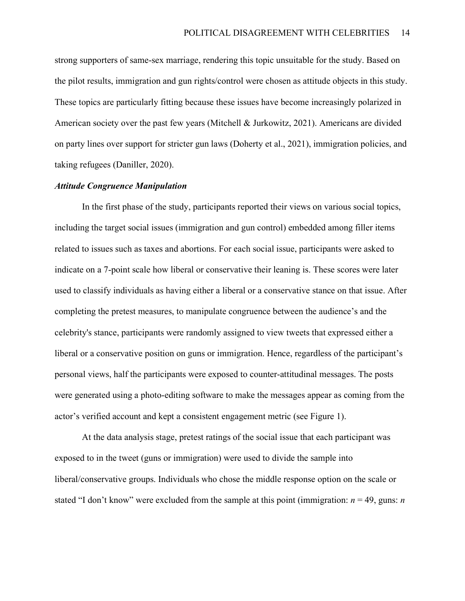strong supporters of same-sex marriage, rendering this topic unsuitable for the study. Based on the pilot results, immigration and gun rights/control were chosen as attitude objects in this study. These topics are particularly fitting because these issues have become increasingly polarized in American society over the past few years (Mitchell & Jurkowitz, 2021). Americans are divided on party lines over support for stricter gun laws (Doherty et al., 2021), immigration policies, and taking refugees (Daniller, 2020).

#### *Attitude Congruence Manipulation*

In the first phase of the study, participants reported their views on various social topics, including the target social issues (immigration and gun control) embedded among filler items related to issues such as taxes and abortions. For each social issue, participants were asked to indicate on a 7-point scale how liberal or conservative their leaning is. These scores were later used to classify individuals as having either a liberal or a conservative stance on that issue. After completing the pretest measures, to manipulate congruence between the audience's and the celebrity's stance, participants were randomly assigned to view tweets that expressed either a liberal or a conservative position on guns or immigration. Hence, regardless of the participant's personal views, half the participants were exposed to counter-attitudinal messages. The posts were generated using a photo-editing software to make the messages appear as coming from the actor's verified account and kept a consistent engagement metric (see Figure 1).

At the data analysis stage, pretest ratings of the social issue that each participant was exposed to in the tweet (guns or immigration) were used to divide the sample into liberal/conservative groups. Individuals who chose the middle response option on the scale or stated "I don't know" were excluded from the sample at this point (immigration:  $n = 49$ , guns: *n*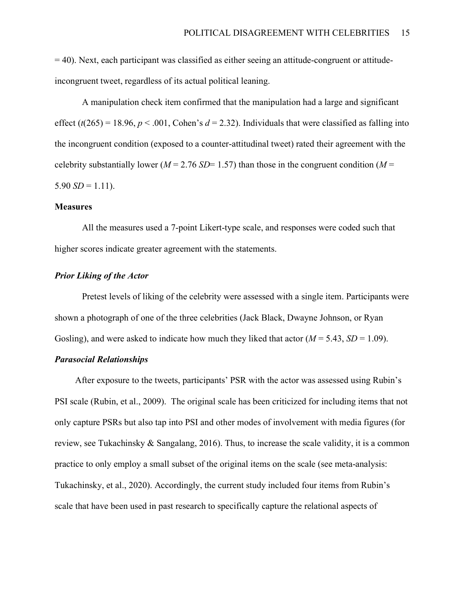= 40). Next, each participant was classified as either seeing an attitude-congruent or attitudeincongruent tweet, regardless of its actual political leaning.

A manipulation check item confirmed that the manipulation had a large and significant effect ( $t(265)$  = 18.96,  $p < .001$ , Cohen's  $d = 2.32$ ). Individuals that were classified as falling into the incongruent condition (exposed to a counter-attitudinal tweet) rated their agreement with the celebrity substantially lower ( $M = 2.76$  *SD*= 1.57) than those in the congruent condition ( $M =$  $5.90 \text{ } SD = 1.11$ .

#### **Measures**

All the measures used a 7-point Likert-type scale, and responses were coded such that higher scores indicate greater agreement with the statements.

### *Prior Liking of the Actor*

Pretest levels of liking of the celebrity were assessed with a single item. Participants were shown a photograph of one of the three celebrities (Jack Black, Dwayne Johnson, or Ryan Gosling), and were asked to indicate how much they liked that actor  $(M = 5.43, SD = 1.09)$ .

### *Parasocial Relationships*

After exposure to the tweets, participants' PSR with the actor was assessed using Rubin's PSI scale (Rubin, et al., 2009). The original scale has been criticized for including items that not only capture PSRs but also tap into PSI and other modes of involvement with media figures (for review, see Tukachinsky & Sangalang, 2016). Thus, to increase the scale validity, it is a common practice to only employ a small subset of the original items on the scale (see meta-analysis: Tukachinsky, et al., 2020). Accordingly, the current study included four items from Rubin's scale that have been used in past research to specifically capture the relational aspects of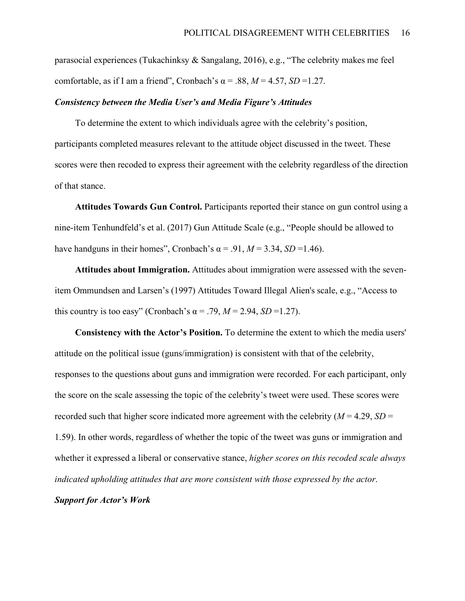parasocial experiences (Tukachinksy & Sangalang, 2016), e.g., "The celebrity makes me feel comfortable, as if I am a friend", Cronbach's  $\alpha$  = .88,  $M$  = 4.57, *SD* = 1.27.

#### *Consistency between the Media User's and Media Figure's Attitudes*

To determine the extent to which individuals agree with the celebrity's position, participants completed measures relevant to the attitude object discussed in the tweet. These scores were then recoded to express their agreement with the celebrity regardless of the direction of that stance.

**Attitudes Towards Gun Control.** Participants reported their stance on gun control using a nine-item Tenhundfeld's et al. (2017) Gun Attitude Scale (e.g., "People should be allowed to have handguns in their homes", Cronbach's  $\alpha$  = .91, *M* = 3.34, *SD* = 1.46).

**Attitudes about Immigration.** Attitudes about immigration were assessed with the sevenitem Ommundsen and Larsen's (1997) Attitudes Toward Illegal Alien's scale, e.g., "Access to this country is too easy" (Cronbach's  $\alpha$  = .79,  $M$  = 2.94, *SD* =1.27).

**Consistency with the Actor's Position.** To determine the extent to which the media users' attitude on the political issue (guns/immigration) is consistent with that of the celebrity, responses to the questions about guns and immigration were recorded. For each participant, only the score on the scale assessing the topic of the celebrity's tweet were used. These scores were recorded such that higher score indicated more agreement with the celebrity ( $M = 4.29$ ,  $SD =$ 1.59). In other words, regardless of whether the topic of the tweet was guns or immigration and whether it expressed a liberal or conservative stance, *higher scores on this recoded scale always indicated upholding attitudes that are more consistent with those expressed by the actor*.

*Support for Actor's Work*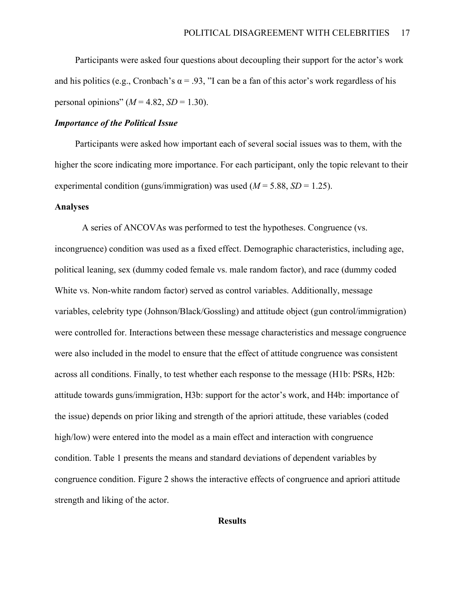Participants were asked four questions about decoupling their support for the actor's work and his politics (e.g., Cronbach's  $\alpha$  = .93, "I can be a fan of this actor's work regardless of his personal opinions" ( $M = 4.82$ ,  $SD = 1.30$ ).

#### *Importance of the Political Issue*

Participants were asked how important each of several social issues was to them, with the higher the score indicating more importance. For each participant, only the topic relevant to their experimental condition (guns/immigration) was used  $(M = 5.88, SD = 1.25)$ .

#### **Analyses**

A series of ANCOVAs was performed to test the hypotheses. Congruence (vs. incongruence) condition was used as a fixed effect. Demographic characteristics, including age, political leaning, sex (dummy coded female vs. male random factor), and race (dummy coded White vs. Non-white random factor) served as control variables. Additionally, message variables, celebrity type (Johnson/Black/Gossling) and attitude object (gun control/immigration) were controlled for. Interactions between these message characteristics and message congruence were also included in the model to ensure that the effect of attitude congruence was consistent across all conditions. Finally, to test whether each response to the message (H1b: PSRs, H2b: attitude towards guns/immigration, H3b: support for the actor's work, and H4b: importance of the issue) depends on prior liking and strength of the apriori attitude, these variables (coded high/low) were entered into the model as a main effect and interaction with congruence condition. Table 1 presents the means and standard deviations of dependent variables by congruence condition. Figure 2 shows the interactive effects of congruence and apriori attitude strength and liking of the actor.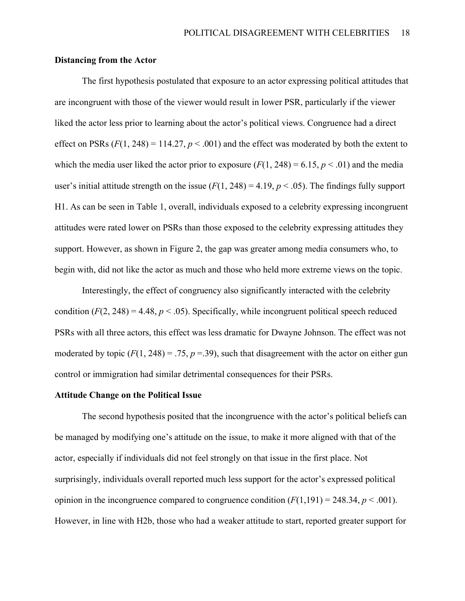#### **Distancing from the Actor**

The first hypothesis postulated that exposure to an actor expressing political attitudes that are incongruent with those of the viewer would result in lower PSR, particularly if the viewer liked the actor less prior to learning about the actor's political views. Congruence had a direct effect on PSRs  $(F(1, 248) = 114.27, p < .001)$  and the effect was moderated by both the extent to which the media user liked the actor prior to exposure  $(F(1, 248) = 6.15, p < .01)$  and the media user's initial attitude strength on the issue  $(F(1, 248) = 4.19, p < .05)$ . The findings fully support H1. As can be seen in Table 1, overall, individuals exposed to a celebrity expressing incongruent attitudes were rated lower on PSRs than those exposed to the celebrity expressing attitudes they support. However, as shown in Figure 2, the gap was greater among media consumers who, to begin with, did not like the actor as much and those who held more extreme views on the topic.

Interestingly, the effect of congruency also significantly interacted with the celebrity condition  $(F(2, 248) = 4.48, p < .05)$ . Specifically, while incongruent political speech reduced PSRs with all three actors, this effect was less dramatic for Dwayne Johnson. The effect was not moderated by topic  $(F(1, 248) = .75, p = .39)$ , such that disagreement with the actor on either gun control or immigration had similar detrimental consequences for their PSRs.

#### **Attitude Change on the Political Issue**

The second hypothesis posited that the incongruence with the actor's political beliefs can be managed by modifying one's attitude on the issue, to make it more aligned with that of the actor, especially if individuals did not feel strongly on that issue in the first place. Not surprisingly, individuals overall reported much less support for the actor's expressed political opinion in the incongruence compared to congruence condition  $(F(1,191) = 248.34, p < .001)$ . However, in line with H2b, those who had a weaker attitude to start, reported greater support for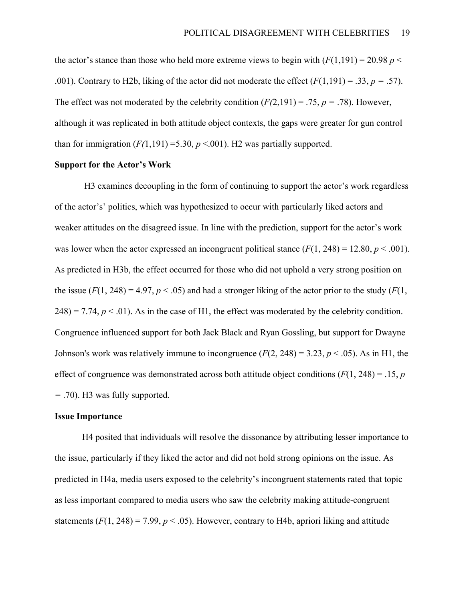the actor's stance than those who held more extreme views to begin with  $(F(1,191) = 20.98 p <$ .001). Contrary to H2b, liking of the actor did not moderate the effect  $(F(1,191) = .33, p = .57)$ . The effect was not moderated by the celebrity condition  $(F(2,191) = .75, p = .78)$ . However, although it was replicated in both attitude object contexts, the gaps were greater for gun control than for immigration  $(F(1,191) = 5.30, p < 0.01)$ . H2 was partially supported.

#### **Support for the Actor's Work**

H3 examines decoupling in the form of continuing to support the actor's work regardless of the actor's' politics, which was hypothesized to occur with particularly liked actors and weaker attitudes on the disagreed issue. In line with the prediction, support for the actor's work was lower when the actor expressed an incongruent political stance  $(F(1, 248) = 12.80, p < .001)$ . As predicted in H3b, the effect occurred for those who did not uphold a very strong position on the issue  $(F(1, 248) = 4.97, p < .05)$  and had a stronger liking of the actor prior to the study  $(F(1, 248))$  $248$ ) = 7.74,  $p < .01$ ). As in the case of H1, the effect was moderated by the celebrity condition. Congruence influenced support for both Jack Black and Ryan Gossling, but support for Dwayne Johnson's work was relatively immune to incongruence  $(F(2, 248) = 3.23, p < .05)$ . As in H1, the effect of congruence was demonstrated across both attitude object conditions  $(F(1, 248) = .15, p$ *=* .70). H3 was fully supported.

#### **Issue Importance**

H4 posited that individuals will resolve the dissonance by attributing lesser importance to the issue, particularly if they liked the actor and did not hold strong opinions on the issue. As predicted in H4a, media users exposed to the celebrity's incongruent statements rated that topic as less important compared to media users who saw the celebrity making attitude-congruent statements  $(F(1, 248) = 7.99, p < .05)$ . However, contrary to H4b, apriori liking and attitude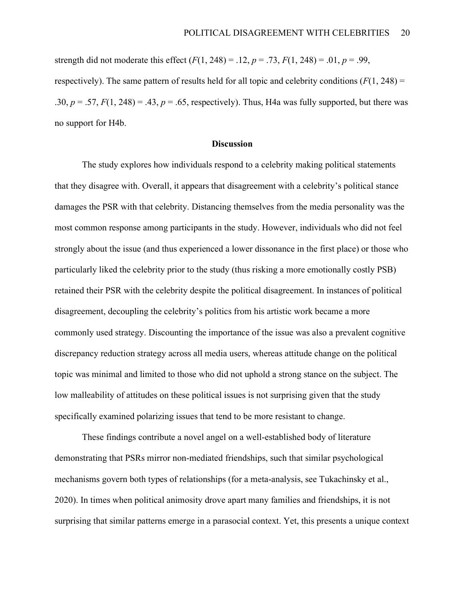strength did not moderate this effect  $(F(1, 248) = .12, p = .73, F(1, 248) = .01, p = .99,$ respectively). The same pattern of results held for all topic and celebrity conditions  $(F(1, 248) =$ .30,  $p = .57$ ,  $F(1, 248) = .43$ ,  $p = .65$ , respectively). Thus, H4a was fully supported, but there was no support for H4b.

#### **Discussion**

The study explores how individuals respond to a celebrity making political statements that they disagree with. Overall, it appears that disagreement with a celebrity's political stance damages the PSR with that celebrity. Distancing themselves from the media personality was the most common response among participants in the study. However, individuals who did not feel strongly about the issue (and thus experienced a lower dissonance in the first place) or those who particularly liked the celebrity prior to the study (thus risking a more emotionally costly PSB) retained their PSR with the celebrity despite the political disagreement. In instances of political disagreement, decoupling the celebrity's politics from his artistic work became a more commonly used strategy. Discounting the importance of the issue was also a prevalent cognitive discrepancy reduction strategy across all media users, whereas attitude change on the political topic was minimal and limited to those who did not uphold a strong stance on the subject. The low malleability of attitudes on these political issues is not surprising given that the study specifically examined polarizing issues that tend to be more resistant to change.

These findings contribute a novel angel on a well-established body of literature demonstrating that PSRs mirror non-mediated friendships, such that similar psychological mechanisms govern both types of relationships (for a meta-analysis, see Tukachinsky et al., 2020). In times when political animosity drove apart many families and friendships, it is not surprising that similar patterns emerge in a parasocial context. Yet, this presents a unique context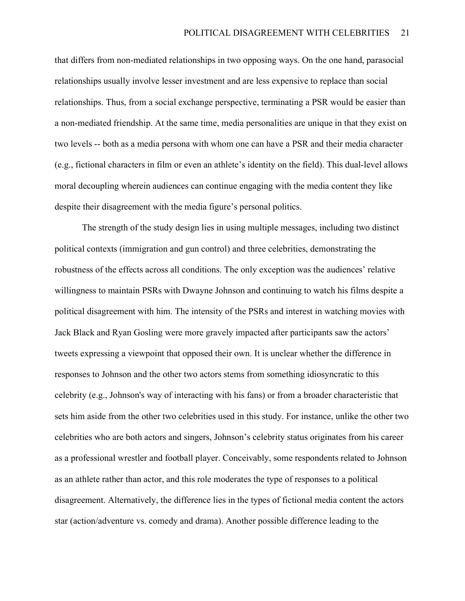that differs from non-mediated relationships in two opposing ways. On the one hand, parasocial relationships usually involve lesser investment and are less expensive to replace than social relationships. Thus, from a social exchange perspective, terminating a PSR would be easier than a non-mediated friendship. At the same time, media personalities are unique in that they exist on two levels -- both as a media persona with whom one can have a PSR and their media character (e.g., fictional characters in film or even an athlete's identity on the field). This dual-level allows moral decoupling wherein audiences can continue engaging with the media content they like despite their disagreement with the media figure's personal politics.

The strength of the study design lies in using multiple messages, including two distinct political contexts (immigration and gun control) and three celebrities, demonstrating the robustness of the effects across all conditions. The only exception was the audiences' relative willingness to maintain PSRs with Dwayne Johnson and continuing to watch his films despite a political disagreement with him. The intensity of the PSRs and interest in watching movies with Jack Black and Ryan Gosling were more gravely impacted after participants saw the actors' tweets expressing a viewpoint that opposed their own. It is unclear whether the difference in responses to Johnson and the other two actors stems from something idiosyncratic to this celebrity (e.g., Johnson's way of interacting with his fans) or from a broader characteristic that sets him aside from the other two celebrities used in this study. For instance, unlike the other two celebrities who are both actors and singers, Johnson's celebrity status originates from his career as a professional wrestler and football player. Conceivably, some respondents related to Johnson as an athlete rather than actor, and this role moderates the type of responses to a political disagreement. Alternatively, the difference lies in the types of fictional media content the actors star (action/adventure vs. comedy and drama). Another possible difference leading to the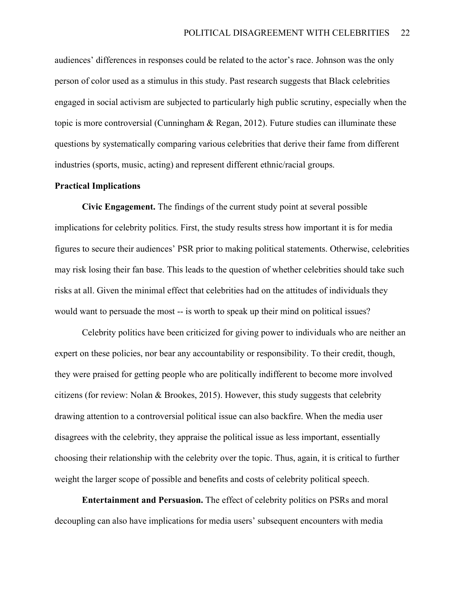audiences' differences in responses could be related to the actor's race. Johnson was the only person of color used as a stimulus in this study. Past research suggests that Black celebrities engaged in social activism are subjected to particularly high public scrutiny, especially when the topic is more controversial (Cunningham & Regan, 2012). Future studies can illuminate these questions by systematically comparing various celebrities that derive their fame from different industries (sports, music, acting) and represent different ethnic/racial groups.

#### **Practical Implications**

**Civic Engagement.** The findings of the current study point at several possible implications for celebrity politics. First, the study results stress how important it is for media figures to secure their audiences' PSR prior to making political statements. Otherwise, celebrities may risk losing their fan base. This leads to the question of whether celebrities should take such risks at all. Given the minimal effect that celebrities had on the attitudes of individuals they would want to persuade the most -- is worth to speak up their mind on political issues?

Celebrity politics have been criticized for giving power to individuals who are neither an expert on these policies, nor bear any accountability or responsibility. To their credit, though, they were praised for getting people who are politically indifferent to become more involved citizens (for review: Nolan & Brookes, 2015). However, this study suggests that celebrity drawing attention to a controversial political issue can also backfire. When the media user disagrees with the celebrity, they appraise the political issue as less important, essentially choosing their relationship with the celebrity over the topic. Thus, again, it is critical to further weight the larger scope of possible and benefits and costs of celebrity political speech.

**Entertainment and Persuasion.** The effect of celebrity politics on PSRs and moral decoupling can also have implications for media users' subsequent encounters with media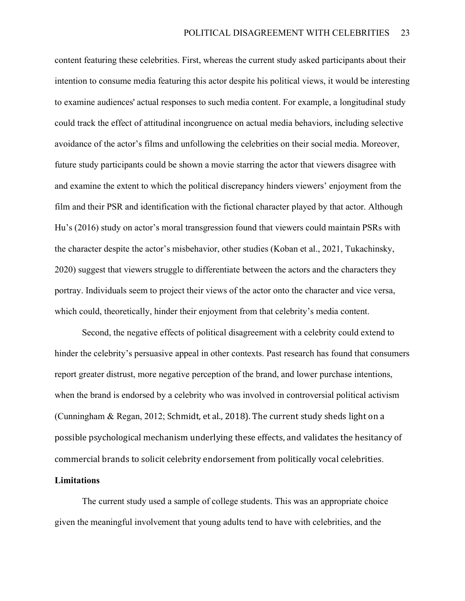content featuring these celebrities. First, whereas the current study asked participants about their intention to consume media featuring this actor despite his political views, it would be interesting to examine audiences' actual responses to such media content. For example, a longitudinal study could track the effect of attitudinal incongruence on actual media behaviors, including selective avoidance of the actor's films and unfollowing the celebrities on their social media. Moreover, future study participants could be shown a movie starring the actor that viewers disagree with and examine the extent to which the political discrepancy hinders viewers' enjoyment from the film and their PSR and identification with the fictional character played by that actor. Although Hu's (2016) study on actor's moral transgression found that viewers could maintain PSRs with the character despite the actor's misbehavior, other studies (Koban et al., 2021, Tukachinsky, 2020) suggest that viewers struggle to differentiate between the actors and the characters they portray. Individuals seem to project their views of the actor onto the character and vice versa, which could, theoretically, hinder their enjoyment from that celebrity's media content.

Second, the negative effects of political disagreement with a celebrity could extend to hinder the celebrity's persuasive appeal in other contexts. Past research has found that consumers report greater distrust, more negative perception of the brand, and lower purchase intentions, when the brand is endorsed by a celebrity who was involved in controversial political activism (Cunningham & Regan, 2012; Schmidt, et al., 2018). The current study sheds light on a possible psychological mechanism underlying these effects, and validates the hesitancy of commercial brands to solicit celebrity endorsement from politically vocal celebrities.

### **Limitations**

The current study used a sample of college students. This was an appropriate choice given the meaningful involvement that young adults tend to have with celebrities, and the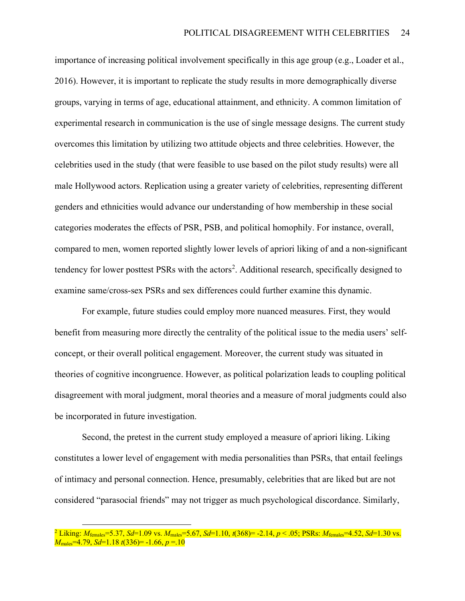importance of increasing political involvement specifically in this age group (e.g., Loader et al., 2016). However, it is important to replicate the study results in more demographically diverse groups, varying in terms of age, educational attainment, and ethnicity. A common limitation of experimental research in communication is the use of single message designs. The current study overcomes this limitation by utilizing two attitude objects and three celebrities. However, the celebrities used in the study (that were feasible to use based on the pilot study results) were all male Hollywood actors. Replication using a greater variety of celebrities, representing different genders and ethnicities would advance our understanding of how membership in these social categories moderates the effects of PSR, PSB, and political homophily. For instance, overall, compared to men, women reported slightly lower levels of apriori liking of and a non-significant tendency for lower posttest PSRs with the actors<sup>[2](#page-26-0)</sup>. Additional research, specifically designed to examine same/cross-sex PSRs and sex differences could further examine this dynamic.

For example, future studies could employ more nuanced measures. First, they would benefit from measuring more directly the centrality of the political issue to the media users' selfconcept, or their overall political engagement. Moreover, the current study was situated in theories of cognitive incongruence. However, as political polarization leads to coupling political disagreement with moral judgment, moral theories and a measure of moral judgments could also be incorporated in future investigation.

Second, the pretest in the current study employed a measure of apriori liking. Liking constitutes a lower level of engagement with media personalities than PSRs, that entail feelings of intimacy and personal connection. Hence, presumably, celebrities that are liked but are not considered "parasocial friends" may not trigger as much psychological discordance. Similarly,

<span id="page-26-0"></span><sup>2</sup> Liking: *M*females=5.37, *Sd*=1.09 vs. *M*males=5.67, *Sd*=1.10, *t*(368)= -2.14, *p* < .05; PSRs: *M*females=4.52, *Sd*=1.30 vs. *M*males=4.79, *Sd*=1.18 *t*(336)= -1.66, *p* =.10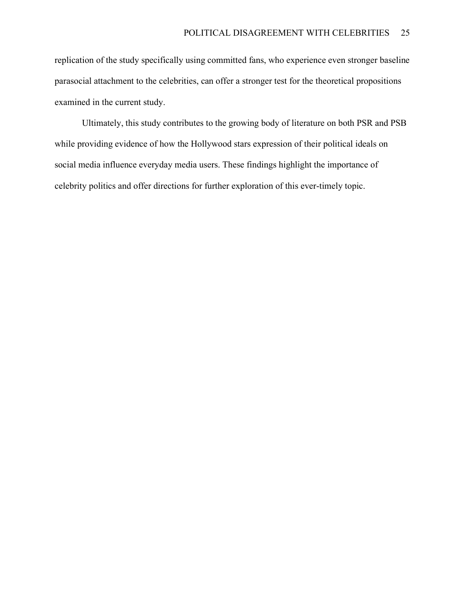replication of the study specifically using committed fans, who experience even stronger baseline parasocial attachment to the celebrities, can offer a stronger test for the theoretical propositions examined in the current study.

Ultimately, this study contributes to the growing body of literature on both PSR and PSB while providing evidence of how the Hollywood stars expression of their political ideals on social media influence everyday media users. These findings highlight the importance of celebrity politics and offer directions for further exploration of this ever-timely topic.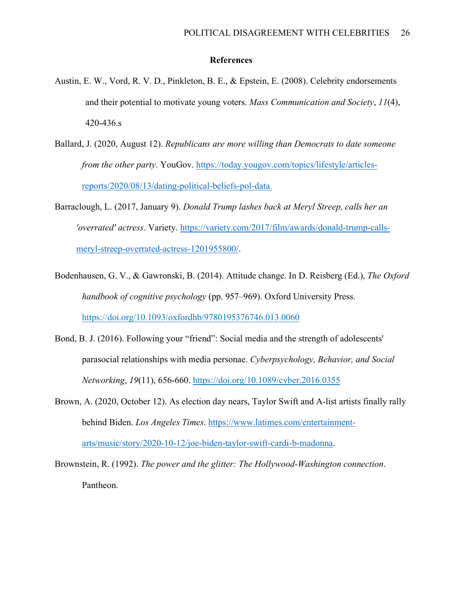#### **References**

- Austin, E. W., Vord, R. V. D., Pinkleton, B. E., & Epstein, E. (2008). Celebrity endorsements and their potential to motivate young voters. *Mass Communication and Society*, *11*(4), 420-436.s
- Ballard, J. (2020, August 12). *Republicans are more willing than Democrats to date someone from the other party*. YouGov. [https://today.yougov.com/topics/lifestyle/articles](https://today.yougov.com/topics/lifestyle/articles-reports/2020/08/13/dating-political-beliefs-pol-data.%C2%A0%C2%A0)[reports/2020/08/13/dating-political-beliefs-pol-data.](https://today.yougov.com/topics/lifestyle/articles-reports/2020/08/13/dating-political-beliefs-pol-data.%C2%A0%C2%A0)
- Barraclough, L. (2017, January 9). *Donald Trump lashes back at Meryl Streep, calls her an 'overrated' actress*. Variety. [https://variety.com/2017/film/awards/donald-trump-calls](https://variety.com/2017/film/awards/donald-trump-calls-meryl-streep-overrated-actress-1201955800/)[meryl-streep-overrated-actress-1201955800/.](https://variety.com/2017/film/awards/donald-trump-calls-meryl-streep-overrated-actress-1201955800/)
- Bodenhausen, G. V., & Gawronski, B. (2014). Attitude change. In D. Reisberg (Ed.), *The Oxford handbook of cognitive psychology* (pp. 957–969). Oxford University Press. [https://doi.org/1](https://psycnet.apa.org/doi/10.1037/ppm0000146)0.1093/oxfordhb/9780195376746.013.0060
- Bond, B. J. (2016). Following your "friend": Social media and the strength of adolescents' parasocial relationships with media personae. *Cyberpsychology, Behavior, and Social Networking*, *19*(11), 656-660. [https://doi.org/1](https://psycnet.apa.org/doi/10.1037/ppm0000146)0.1089/cyber.2016.0355
- Brown, A. (2020, October 12). As election day nears, Taylor Swift and A-list artists finally rally behind Biden. *Los Angeles Times*. [https://www.latimes.com/entertainment](https://www.latimes.com/entertainment-arts/music/story/2020-10-12/joe-biden-taylor-swift-cardi-b-madonna)[arts/music/story/2020-10-12/joe-biden-taylor-swift-cardi-b-madonna.](https://www.latimes.com/entertainment-arts/music/story/2020-10-12/joe-biden-taylor-swift-cardi-b-madonna)

Brownstein, R. (1992). *The power and the glitter: The Hollywood-Washington connection*. Pantheon.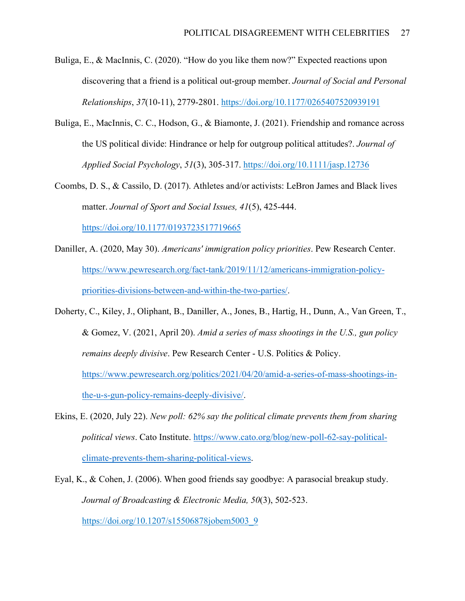- Buliga, E., & MacInnis, C. (2020). "How do you like them now?" Expected reactions upon discovering that a friend is a political out-group member. *Journal of Social and Personal Relationships*, *37*(10-11), 2779-2801. https://doi.org/10.1177/0265407520939191
- Buliga, E., MacInnis, C. C., Hodson, G., & Biamonte, J. (2021). Friendship and romance across the US political divide: Hindrance or help for outgroup political attitudes?. *Journal of Applied Social Psychology*, *51*(3), 305-317. https://doi.org/10.1111/jasp.12736
- Coombs, D. S., & Cassilo, D. (2017). Athletes and/or activists: LeBron James and Black lives matter. *Journal of Sport and Social Issues, 41*(5), 425-444. https://doi.org/10.1177/0193723517719665
- Daniller, A. (2020, May 30). *Americans' immigration policy priorities*. Pew Research Center. [https://www.pewresearch.org/fact-tank/2019/11/12/americans-immigration-policy](https://www.pewresearch.org/fact-tank/2019/11/12/americans-immigration-policy-priorities-divisions-between-and-within-the-two-parties/)[priorities-divisions-between-and-within-the-two-parties/.](https://www.pewresearch.org/fact-tank/2019/11/12/americans-immigration-policy-priorities-divisions-between-and-within-the-two-parties/)
- Doherty, C., Kiley, J., Oliphant, B., Daniller, A., Jones, B., Hartig, H., Dunn, A., Van Green, T., & Gomez, V. (2021, April 20). *Amid a series of mass shootings in the U.S., gun policy remains deeply divisive*. Pew Research Center - U.S. Politics & Policy. [https://www.pewresearch.org/politics/2021/04/20/amid-a-series-of-mass-shootings-in](https://www.pewresearch.org/politics/2021/04/20/amid-a-series-of-mass-shootings-in-the-u-s-gun-policy-remains-deeply-divisive/)[the-u-s-gun-policy-remains-deeply-divisive/.](https://www.pewresearch.org/politics/2021/04/20/amid-a-series-of-mass-shootings-in-the-u-s-gun-policy-remains-deeply-divisive/)
- Ekins, E. (2020, July 22). *New poll: 62% say the political climate prevents them from sharing political views*. Cato Institute. [https://www.cato.org/blog/new-poll-62-say-political](https://www.cato.org/blog/new-poll-62-say-political-climate-prevents-them-sharing-political-views)[climate-prevents-them-sharing-political-views.](https://www.cato.org/blog/new-poll-62-say-political-climate-prevents-them-sharing-political-views)
- Eyal, K., & Cohen, J. (2006). When good friends say goodbye: A parasocial breakup study. *Journal of Broadcasting & Electronic Media, 50*(3), 502-523. https://doi.org/10.1207/s15506878jobem5003\_9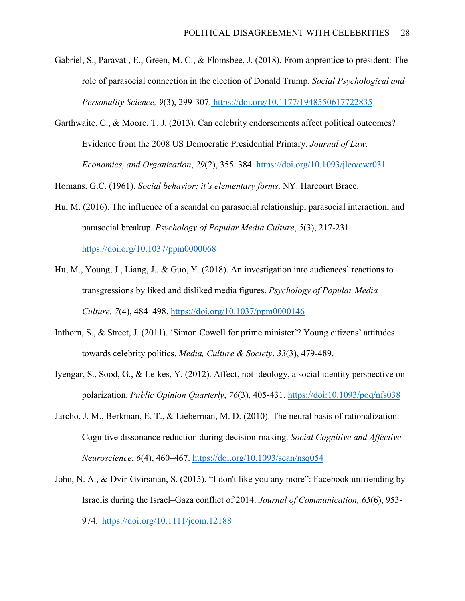- Gabriel, S., Paravati, E., Green, M. C., & Flomsbee, J. (2018). From apprentice to president: The role of parasocial connection in the election of Donald Trump. *Social Psychological and Personality Science, 9*(3), 299-307. https://doi.org/10.1177/1948550617722835
- Garthwaite, C., & Moore, T. J. (2013). Can celebrity endorsements affect political outcomes? Evidence from the 2008 US Democratic Presidential Primary. *Journal of Law, Economics, and Organization*, *29*(2), 355–384.<https://doi.org/10.1093/jleo/ewr031>

Homans. G.C. (1961). *Social behavior; it's elementary forms*. NY: Harcourt Brace.

- Hu, M. (2016). The influence of a scandal on parasocial relationship, parasocial interaction, and parasocial breakup. *Psychology of Popular Media Culture*, *5*(3), 217-231. <https://doi.org/10.1037/ppm0000068>
- Hu, M., Young, J., Liang, J., & Guo, Y. (2018). An investigation into audiences' reactions to transgressions by liked and disliked media figures. *Psychology of Popular Media Culture, 7*(4), 484–498. [https://doi.org/10.1037/ppm0000146](https://psycnet.apa.org/doi/10.1037/ppm0000146)
- Inthorn, S., & Street, J. (2011). 'Simon Cowell for prime minister'? Young citizens' attitudes towards celebrity politics. *Media, Culture & Society*, *33*(3), 479-489.
- Iyengar, S., Sood, G., & Lelkes, Y. (2012). Affect, not ideology, a social identity perspective on polarization. *Public Opinion Quarterly*, *76*(3), 405-431. https://doi:10.1093/poq/nfs038
- Jarcho, J. M., Berkman, E. T., & Lieberman, M. D. (2010). The neural basis of rationalization: Cognitive dissonance reduction during decision-making. *Social Cognitive and Affective Neuroscience*, *6*(4), 460–467.<https://doi.org/10.1093/scan/nsq054>
- John, N. A., & Dvir-Gvirsman, S. (2015). "I don't like you any more": Facebook unfriending by Israelis during the Israel–Gaza conflict of 2014. *Journal of Communication, 65*(6), 953- 974. https://doi.org/10.1111/jcom.12188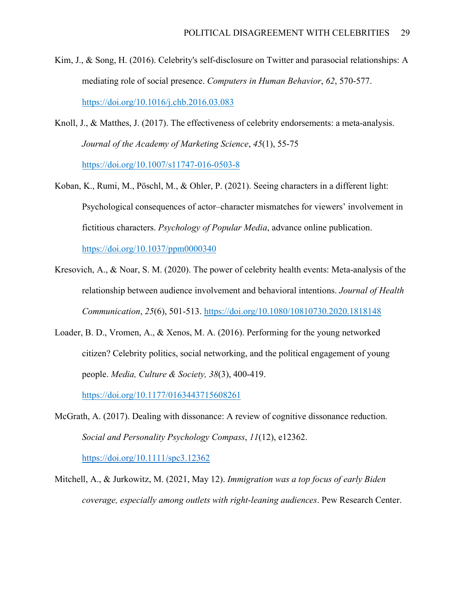- Kim, J., & Song, H. (2016). Celebrity's self-disclosure on Twitter and parasocial relationships: A mediating role of social presence. *Computers in Human Behavior*, *62*, 570-577. https://doi.org/10.1016/j.chb.2016.03.083
- Knoll, J., & Matthes, J. (2017). The effectiveness of celebrity endorsements: a meta-analysis. *Journal of the Academy of Marketing Science*, *45*(1), 55-75 https://doi.org/10.1007/s11747-016-0503-8
- Koban, K., Rumi, M., Pöschl, M., & Ohler, P. (2021). Seeing characters in a different light: Psychological consequences of actor–character mismatches for viewers' involvement in fictitious characters. *Psychology of Popular Media*, advance online publication. https://doi.org/10.1037/ppm0000340
- Kresovich, A., & Noar, S. M. (2020). The power of celebrity health events: Meta-analysis of the relationship between audience involvement and behavioral intentions. *Journal of Health Communication*, *25*(6), 501-513. https://doi.org/10.1080/10810730.2020.1818148
- Loader, B. D., Vromen, A., & Xenos, M. A. (2016). Performing for the young networked citizen? Celebrity politics, social networking, and the political engagement of young people. *Media, Culture & Society, 38*(3), 400-419.

https://doi.org/10.1177/0163443715608261

- McGrath, A. (2017). Dealing with dissonance: A review of cognitive dissonance reduction. *Social and Personality Psychology Compass*, *11*(12), e12362. <https://doi.org/10.1111/spc3.12362>
- Mitchell, A., & Jurkowitz, M. (2021, May 12). *Immigration was a top focus of early Biden coverage, especially among outlets with right-leaning audiences*. Pew Research Center.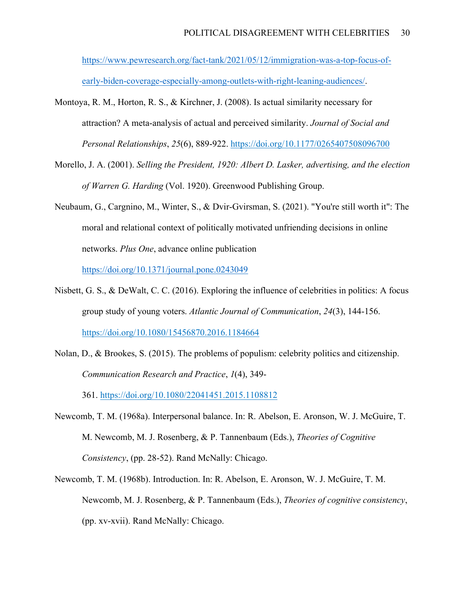[https://www.pewresearch.org/fact-tank/2021/05/12/immigration-was-a-top-focus-of](https://www.pewresearch.org/fact-tank/2021/05/12/immigration-was-a-top-focus-of-early-biden-coverage-especially-among-outlets-with-right-leaning-audiences/)[early-biden-coverage-especially-among-outlets-with-right-leaning-audiences/.](https://www.pewresearch.org/fact-tank/2021/05/12/immigration-was-a-top-focus-of-early-biden-coverage-especially-among-outlets-with-right-leaning-audiences/)

- Montoya, R. M., Horton, R. S., & Kirchner, J. (2008). Is actual similarity necessary for attraction? A meta-analysis of actual and perceived similarity. *Journal of Social and Personal Relationships*, *25*(6), 889-922. https://doi.org/10.1177/0265407508096700
- Morello, J. A. (2001). *Selling the President, 1920: Albert D. Lasker, advertising, and the election of Warren G. Harding* (Vol. 1920). Greenwood Publishing Group.
- Neubaum, G., Cargnino, M., Winter, S., & Dvir-Gvirsman, S. (2021). "You're still worth it": The moral and relational context of politically motivated unfriending decisions in online networks. *Plus One*, advance online publication

<https://doi.org/10.1371/journal.pone.0243049>

- Nisbett, G. S., & DeWalt, C. C. (2016). Exploring the influence of celebrities in politics: A focus group study of young voters. *Atlantic Journal of Communication*, *24*(3), 144-156. https://doi.org/10.1080/15456870.2016.1184664
- Nolan, D., & Brookes, S. (2015). The problems of populism: celebrity politics and citizenship. *Communication Research and Practice*, *1*(4), 349-

361. https://doi.org/10.1080/22041451.2015.1108812

- Newcomb, T. M. (1968a). Interpersonal balance. In: R. Abelson, E. Aronson, W. J. McGuire, T. M. Newcomb, M. J. Rosenberg, & P. Tannenbaum (Eds.), *Theories of Cognitive Consistency*, (pp. 28-52). Rand McNally: Chicago.
- Newcomb, T. M. (1968b). Introduction. In: R. Abelson, E. Aronson, W. J. McGuire, T. M. Newcomb, M. J. Rosenberg, & P. Tannenbaum (Eds.), *Theories of cognitive consistency*, (pp. xv-xvii). Rand McNally: Chicago.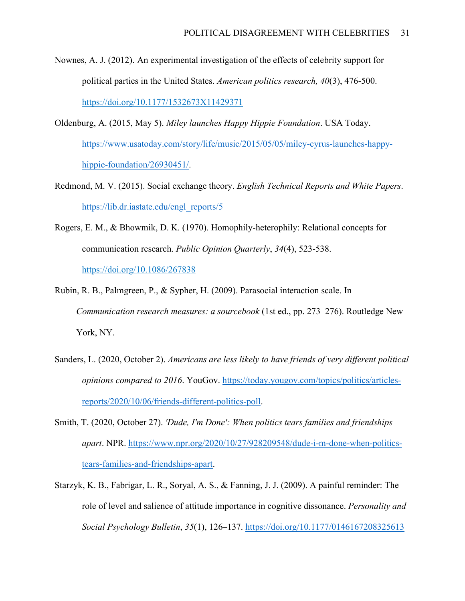- Nownes, A. J. (2012). An experimental investigation of the effects of celebrity support for political parties in the United States. *American politics research, 40*(3), 476-500. https://doi.org/10.1177/1532673X11429371
- Oldenburg, A. (2015, May 5). *Miley launches Happy Hippie Foundation*. USA Today. [https://www.usatoday.com/story/life/music/2015/05/05/miley-cyrus-launches-happy](https://www.usatoday.com/story/life/music/2015/05/05/miley-cyrus-launches-happy-hippie-foundation/26930451/)[hippie-foundation/26930451/.](https://www.usatoday.com/story/life/music/2015/05/05/miley-cyrus-launches-happy-hippie-foundation/26930451/)
- Redmond, M. V. (2015). Social exchange theory. *English Technical Reports and White Papers*. [https://lib.dr.iastate.edu/engl\\_reports/5](https://lib.dr.iastate.edu/engl_reports/5)
- Rogers, E. M., & Bhowmik, D. K. (1970). Homophily-heterophily: Relational concepts for communication research. *Public Opinion Quarterly*, *34*(4), 523-538. https://doi.org/10.1086/267838
- Rubin, R. B., Palmgreen, P., & Sypher, H. (2009). Parasocial interaction scale. In *Communication research measures: a sourcebook* (1st ed., pp. 273–276). Routledge New York, NY.
- Sanders, L. (2020, October 2). *Americans are less likely to have friends of very different political opinions compared to 2016*. YouGov. [https://today.yougov.com/topics/politics/articles](https://today.yougov.com/topics/politics/articles-reports/2020/10/06/friends-different-politics-poll)[reports/2020/10/06/friends-different-politics-poll.](https://today.yougov.com/topics/politics/articles-reports/2020/10/06/friends-different-politics-poll)
- Smith, T. (2020, October 27). *'Dude, I'm Done': When politics tears families and friendships apart*. NPR. [https://www.npr.org/2020/10/27/928209548/dude-i-m-done-when-politics](https://www.npr.org/2020/10/27/928209548/dude-i-m-done-when-politics-tears-families-and-friendships-apart)[tears-families-and-friendships-apart.](https://www.npr.org/2020/10/27/928209548/dude-i-m-done-when-politics-tears-families-and-friendships-apart)
- Starzyk, K. B., Fabrigar, L. R., Soryal, A. S., & Fanning, J. J. (2009). A painful reminder: The role of level and salience of attitude importance in cognitive dissonance. *Personality and Social Psychology Bulletin*, *35*(1), 126–137.<https://doi.org/10.1177/0146167208325613>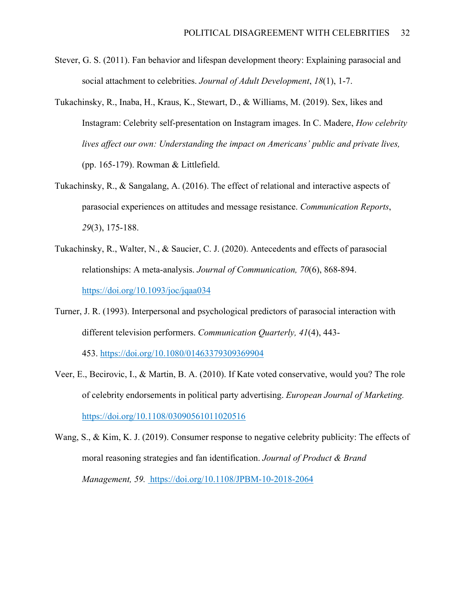- Stever, G. S. (2011). Fan behavior and lifespan development theory: Explaining parasocial and social attachment to celebrities. *Journal of Adult Development*, *18*(1), 1-7.
- Tukachinsky, R., Inaba, H., Kraus, K., Stewart, D., & Williams, M. (2019). Sex, likes and Instagram: Celebrity self-presentation on Instagram images. In C. Madere, *How celebrity lives affect our own: Understanding the impact on Americans' public and private lives,* (pp. 165-179). Rowman & Littlefield.
- Tukachinsky, R., & Sangalang, A. (2016). The effect of relational and interactive aspects of parasocial experiences on attitudes and message resistance. *Communication Reports*, *29*(3), 175-188.
- Tukachinsky, R., Walter, N., & Saucier, C. J. (2020). Antecedents and effects of parasocial relationships: A meta-analysis. *Journal of Communication, 70*(6), 868-894. https://doi.org/10.1093/joc/jqaa034
- Turner, J. R. (1993). Interpersonal and psychological predictors of parasocial interaction with different television performers. *Communication Quarterly, 41*(4), 443- 453. https://doi.org/10.1080/01463379309369904
- Veer, E., Becirovic, I., & Martin, B. A. (2010). If Kate voted conservative, would you? The role of celebrity endorsements in political party advertising. *European Journal of Marketing.*  https://doi.org/10.1108/03090561011020516

Wang, S., & Kim, K. J. (2019). Consumer response to negative celebrity publicity: The effects of moral reasoning strategies and fan identification. *Journal of Product & Brand Management, 59.* https://doi.org/10.1108/JPBM-10-2018-2064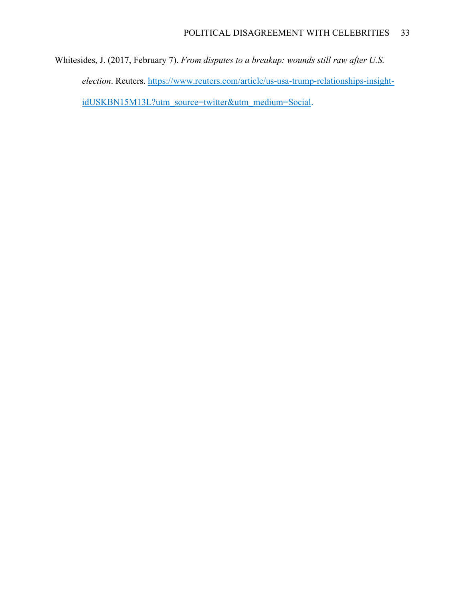Whitesides, J. (2017, February 7). *From disputes to a breakup: wounds still raw after U.S. election*. Reuters. [https://www.reuters.com/article/us-usa-trump-relationships-insight](https://www.reuters.com/article/us-usa-trump-relationships-insight-idUSKBN15M13L?utm_source=twitter&utm_medium=Social)[idUSKBN15M13L?utm\\_source=twitter&utm\\_medium=Social.](https://www.reuters.com/article/us-usa-trump-relationships-insight-idUSKBN15M13L?utm_source=twitter&utm_medium=Social)